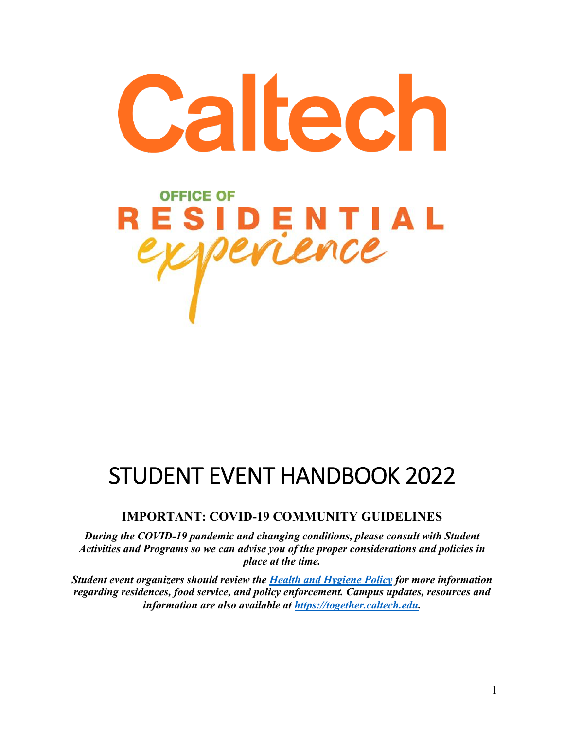

# STUDENT EVENT HANDBOOK 2022

# **IMPORTANT: COVID-19 COMMUNITY GUIDELINES**

*During the COVID-19 pandemic and changing conditions, please consult with Student Activities and Programs so we can advise you of the proper considerations and policies in place at the time.*

*Student event organizers should review the Health and Hygiene Policy for more information regarding residences, food service, and policy enforcement. Campus updates, resources and information are also available at https://together.caltech.edu.*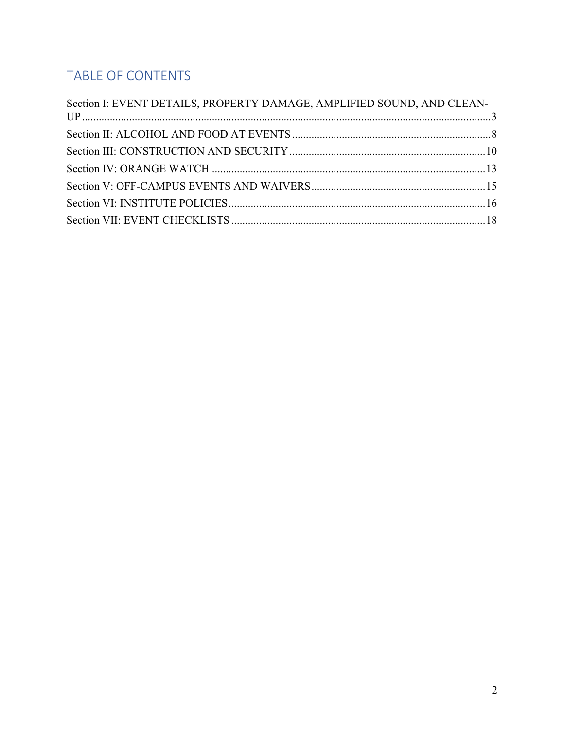# TABLE OF CONTENTS

| Section I: EVENT DETAILS, PROPERTY DAMAGE, AMPLIFIED SOUND, AND CLEAN- |  |
|------------------------------------------------------------------------|--|
|                                                                        |  |
|                                                                        |  |
|                                                                        |  |
|                                                                        |  |
|                                                                        |  |
|                                                                        |  |
|                                                                        |  |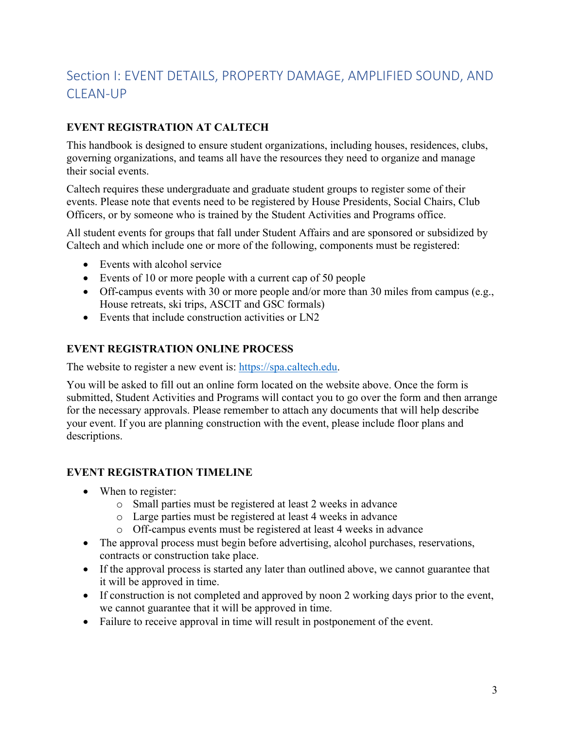# Section I: EVENT DETAILS, PROPERTY DAMAGE, AMPLIFIED SOUND, AND CLEAN-UP

# **EVENT REGISTRATION AT CALTECH**

This handbook is designed to ensure student organizations, including houses, residences, clubs, governing organizations, and teams all have the resources they need to organize and manage their social events.

Caltech requires these undergraduate and graduate student groups to register some of their events. Please note that events need to be registered by House Presidents, Social Chairs, Club Officers, or by someone who is trained by the Student Activities and Programs office.

All student events for groups that fall under Student Affairs and are sponsored or subsidized by Caltech and which include one or more of the following, components must be registered:

- Events with alcohol service
- Events of 10 or more people with a current cap of 50 people
- Off-campus events with 30 or more people and/or more than 30 miles from campus (e.g., House retreats, ski trips, ASCIT and GSC formals)
- Events that include construction activities or LN2

#### **EVENT REGISTRATION ONLINE PROCESS**

The website to register a new event is: https://spa.caltech.edu.

You will be asked to fill out an online form located on the website above. Once the form is submitted, Student Activities and Programs will contact you to go over the form and then arrange for the necessary approvals. Please remember to attach any documents that will help describe your event. If you are planning construction with the event, please include floor plans and descriptions.

#### **EVENT REGISTRATION TIMELINE**

- When to register:
	- o Small parties must be registered at least 2 weeks in advance
	- o Large parties must be registered at least 4 weeks in advance
	- o Off-campus events must be registered at least 4 weeks in advance
- The approval process must begin before advertising, alcohol purchases, reservations, contracts or construction take place.
- If the approval process is started any later than outlined above, we cannot guarantee that it will be approved in time.
- If construction is not completed and approved by noon 2 working days prior to the event, we cannot guarantee that it will be approved in time.
- Failure to receive approval in time will result in postponement of the event.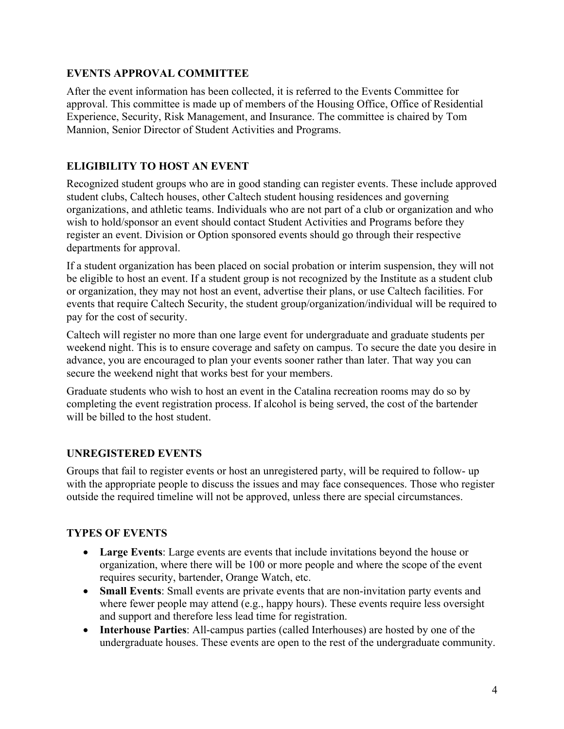### **EVENTS APPROVAL COMMITTEE**

After the event information has been collected, it is referred to the Events Committee for approval. This committee is made up of members of the Housing Office, Office of Residential Experience, Security, Risk Management, and Insurance. The committee is chaired by Tom Mannion, Senior Director of Student Activities and Programs.

# **ELIGIBILITY TO HOST AN EVENT**

Recognized student groups who are in good standing can register events. These include approved student clubs, Caltech houses, other Caltech student housing residences and governing organizations, and athletic teams. Individuals who are not part of a club or organization and who wish to hold/sponsor an event should contact Student Activities and Programs before they register an event. Division or Option sponsored events should go through their respective departments for approval.

If a student organization has been placed on social probation or interim suspension, they will not be eligible to host an event. If a student group is not recognized by the Institute as a student club or organization, they may not host an event, advertise their plans, or use Caltech facilities. For events that require Caltech Security, the student group/organization/individual will be required to pay for the cost of security.

Caltech will register no more than one large event for undergraduate and graduate students per weekend night. This is to ensure coverage and safety on campus. To secure the date you desire in advance, you are encouraged to plan your events sooner rather than later. That way you can secure the weekend night that works best for your members.

Graduate students who wish to host an event in the Catalina recreation rooms may do so by completing the event registration process. If alcohol is being served, the cost of the bartender will be billed to the host student.

# **UNREGISTERED EVENTS**

Groups that fail to register events or host an unregistered party, will be required to follow- up with the appropriate people to discuss the issues and may face consequences. Those who register outside the required timeline will not be approved, unless there are special circumstances.

# **TYPES OF EVENTS**

- **Large Events**: Large events are events that include invitations beyond the house or organization, where there will be 100 or more people and where the scope of the event requires security, bartender, Orange Watch, etc.
- **Small Events**: Small events are private events that are non-invitation party events and where fewer people may attend (e.g., happy hours). These events require less oversight and support and therefore less lead time for registration.
- **Interhouse Parties**: All-campus parties (called Interhouses) are hosted by one of the undergraduate houses. These events are open to the rest of the undergraduate community.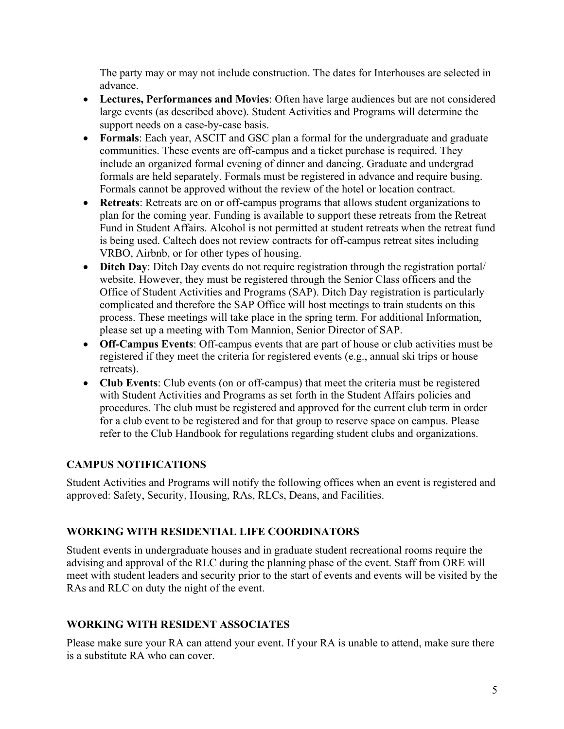The party may or may not include construction. The dates for Interhouses are selected in advance.

- **Lectures, Performances and Movies**: Often have large audiences but are not considered large events (as described above). Student Activities and Programs will determine the support needs on a case-by-case basis.
- **Formals**: Each year, ASCIT and GSC plan a formal for the undergraduate and graduate communities. These events are off-campus and a ticket purchase is required. They include an organized formal evening of dinner and dancing. Graduate and undergrad formals are held separately. Formals must be registered in advance and require busing. Formals cannot be approved without the review of the hotel or location contract.
- **Retreats**: Retreats are on or off-campus programs that allows student organizations to plan for the coming year. Funding is available to support these retreats from the Retreat Fund in Student Affairs. Alcohol is not permitted at student retreats when the retreat fund is being used. Caltech does not review contracts for off-campus retreat sites including VRBO, Airbnb, or for other types of housing.
- **Ditch Day**: Ditch Day events do not require registration through the registration portal/ website. However, they must be registered through the Senior Class officers and the Office of Student Activities and Programs (SAP). Ditch Day registration is particularly complicated and therefore the SAP Office will host meetings to train students on this process. These meetings will take place in the spring term. For additional Information, please set up a meeting with Tom Mannion, Senior Director of SAP.
- **Off-Campus Events**: Off-campus events that are part of house or club activities must be registered if they meet the criteria for registered events (e.g., annual ski trips or house retreats).
- **Club Events**: Club events (on or off-campus) that meet the criteria must be registered with Student Activities and Programs as set forth in the Student Affairs policies and procedures. The club must be registered and approved for the current club term in order for a club event to be registered and for that group to reserve space on campus. Please refer to the Club Handbook for regulations regarding student clubs and organizations.

# **CAMPUS NOTIFICATIONS**

Student Activities and Programs will notify the following offices when an event is registered and approved: Safety, Security, Housing, RAs, RLCs, Deans, and Facilities.

# **WORKING WITH RESIDENTIAL LIFE COORDINATORS**

Student events in undergraduate houses and in graduate student recreational rooms require the advising and approval of the RLC during the planning phase of the event. Staff from ORE will meet with student leaders and security prior to the start of events and events will be visited by the RAs and RLC on duty the night of the event.

# **WORKING WITH RESIDENT ASSOCIATES**

Please make sure your RA can attend your event. If your RA is unable to attend, make sure there is a substitute RA who can cover.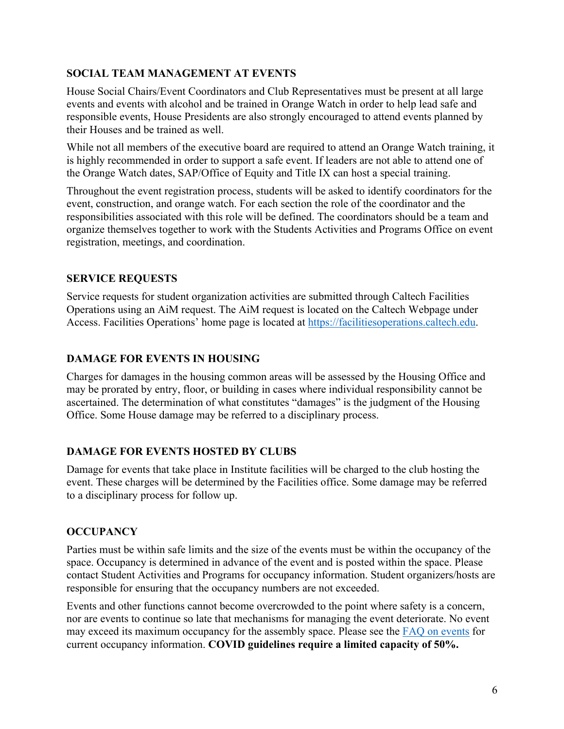# **SOCIAL TEAM MANAGEMENT AT EVENTS**

House Social Chairs/Event Coordinators and Club Representatives must be present at all large events and events with alcohol and be trained in Orange Watch in order to help lead safe and responsible events, House Presidents are also strongly encouraged to attend events planned by their Houses and be trained as well.

While not all members of the executive board are required to attend an Orange Watch training, it is highly recommended in order to support a safe event. If leaders are not able to attend one of the Orange Watch dates, SAP/Office of Equity and Title IX can host a special training.

Throughout the event registration process, students will be asked to identify coordinators for the event, construction, and orange watch. For each section the role of the coordinator and the responsibilities associated with this role will be defined. The coordinators should be a team and organize themselves together to work with the Students Activities and Programs Office on event registration, meetings, and coordination.

### **SERVICE REQUESTS**

Service requests for student organization activities are submitted through Caltech Facilities Operations using an AiM request. The AiM request is located on the Caltech Webpage under Access. Facilities Operations' home page is located at https://facilitiesoperations.caltech.edu.

# **DAMAGE FOR EVENTS IN HOUSING**

Charges for damages in the housing common areas will be assessed by the Housing Office and may be prorated by entry, floor, or building in cases where individual responsibility cannot be ascertained. The determination of what constitutes "damages" is the judgment of the Housing Office. Some House damage may be referred to a disciplinary process.

# **DAMAGE FOR EVENTS HOSTED BY CLUBS**

Damage for events that take place in Institute facilities will be charged to the club hosting the event. These charges will be determined by the Facilities office. Some damage may be referred to a disciplinary process for follow up.

# **OCCUPANCY**

Parties must be within safe limits and the size of the events must be within the occupancy of the space. Occupancy is determined in advance of the event and is posted within the space. Please contact Student Activities and Programs for occupancy information. Student organizers/hosts are responsible for ensuring that the occupancy numbers are not exceeded.

Events and other functions cannot become overcrowded to the point where safety is a concern, nor are events to continue so late that mechanisms for managing the event deteriorate. No event may exceed its maximum occupancy for the assembly space. Please see the FAQ on events for current occupancy information. **COVID guidelines require a limited capacity of 50%.**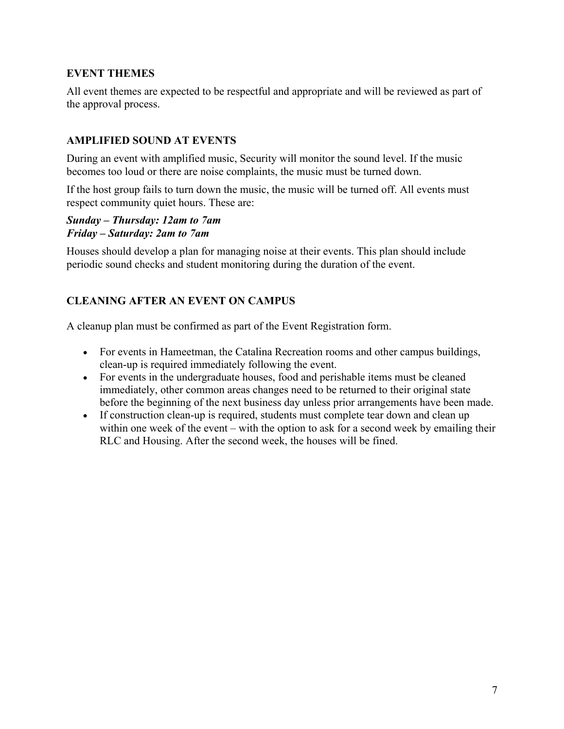# **EVENT THEMES**

All event themes are expected to be respectful and appropriate and will be reviewed as part of the approval process.

# **AMPLIFIED SOUND AT EVENTS**

During an event with amplified music, Security will monitor the sound level. If the music becomes too loud or there are noise complaints, the music must be turned down.

If the host group fails to turn down the music, the music will be turned off. All events must respect community quiet hours. These are:

*Sunday – Thursday: 12am to 7am Friday – Saturday: 2am to 7am*

Houses should develop a plan for managing noise at their events. This plan should include periodic sound checks and student monitoring during the duration of the event.

# **CLEANING AFTER AN EVENT ON CAMPUS**

A cleanup plan must be confirmed as part of the Event Registration form.

- For events in Hameetman, the Catalina Recreation rooms and other campus buildings, clean-up is required immediately following the event.
- For events in the undergraduate houses, food and perishable items must be cleaned immediately, other common areas changes need to be returned to their original state before the beginning of the next business day unless prior arrangements have been made.
- If construction clean-up is required, students must complete tear down and clean up within one week of the event – with the option to ask for a second week by emailing their RLC and Housing. After the second week, the houses will be fined.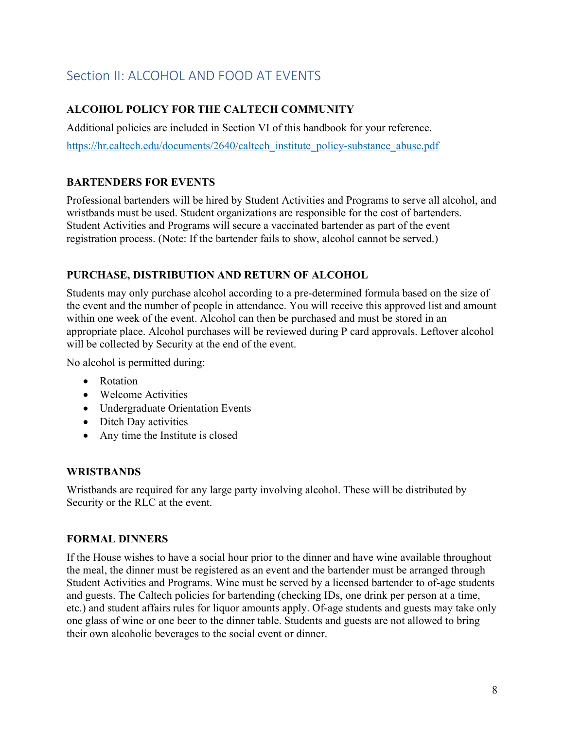# Section II: ALCOHOL AND FOOD AT EVENTS

# **ALCOHOL POLICY FOR THE CALTECH COMMUNITY**

Additional policies are included in Section VI of this handbook for your reference.

https://hr.caltech.edu/documents/2640/caltech\_institute\_policy-substance\_abuse.pdf

# **BARTENDERS FOR EVENTS**

Professional bartenders will be hired by Student Activities and Programs to serve all alcohol, and wristbands must be used. Student organizations are responsible for the cost of bartenders. Student Activities and Programs will secure a vaccinated bartender as part of the event registration process. (Note: If the bartender fails to show, alcohol cannot be served.)

### **PURCHASE, DISTRIBUTION AND RETURN OF ALCOHOL**

Students may only purchase alcohol according to a pre-determined formula based on the size of the event and the number of people in attendance. You will receive this approved list and amount within one week of the event. Alcohol can then be purchased and must be stored in an appropriate place. Alcohol purchases will be reviewed during P card approvals. Leftover alcohol will be collected by Security at the end of the event.

No alcohol is permitted during:

- Rotation
- Welcome Activities
- Undergraduate Orientation Events
- Ditch Day activities
- Any time the Institute is closed

#### **WRISTBANDS**

Wristbands are required for any large party involving alcohol. These will be distributed by Security or the RLC at the event.

# **FORMAL DINNERS**

If the House wishes to have a social hour prior to the dinner and have wine available throughout the meal, the dinner must be registered as an event and the bartender must be arranged through Student Activities and Programs. Wine must be served by a licensed bartender to of-age students and guests. The Caltech policies for bartending (checking IDs, one drink per person at a time, etc.) and student affairs rules for liquor amounts apply. Of-age students and guests may take only one glass of wine or one beer to the dinner table. Students and guests are not allowed to bring their own alcoholic beverages to the social event or dinner.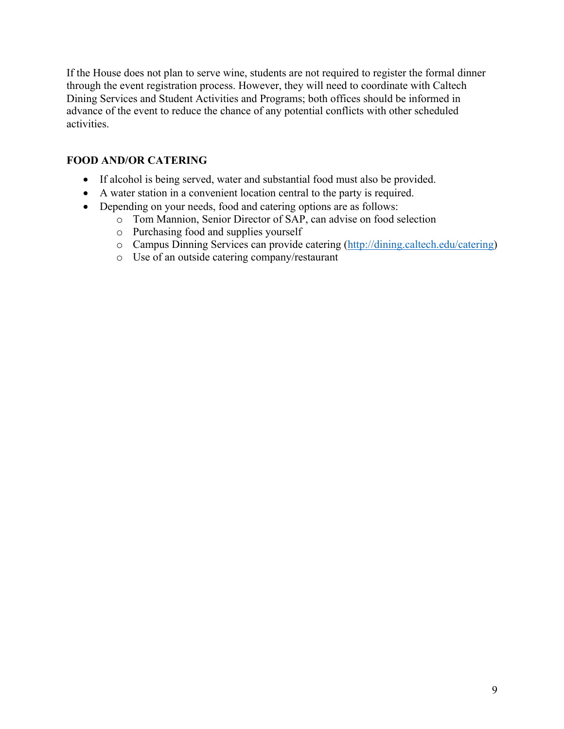If the House does not plan to serve wine, students are not required to register the formal dinner through the event registration process. However, they will need to coordinate with Caltech Dining Services and Student Activities and Programs; both offices should be informed in advance of the event to reduce the chance of any potential conflicts with other scheduled activities.

# **FOOD AND/OR CATERING**

- If alcohol is being served, water and substantial food must also be provided.
- A water station in a convenient location central to the party is required.
- Depending on your needs, food and catering options are as follows:
	- o Tom Mannion, Senior Director of SAP, can advise on food selection
	- o Purchasing food and supplies yourself
	- o Campus Dinning Services can provide catering (http://dining.caltech.edu/catering)
	- o Use of an outside catering company/restaurant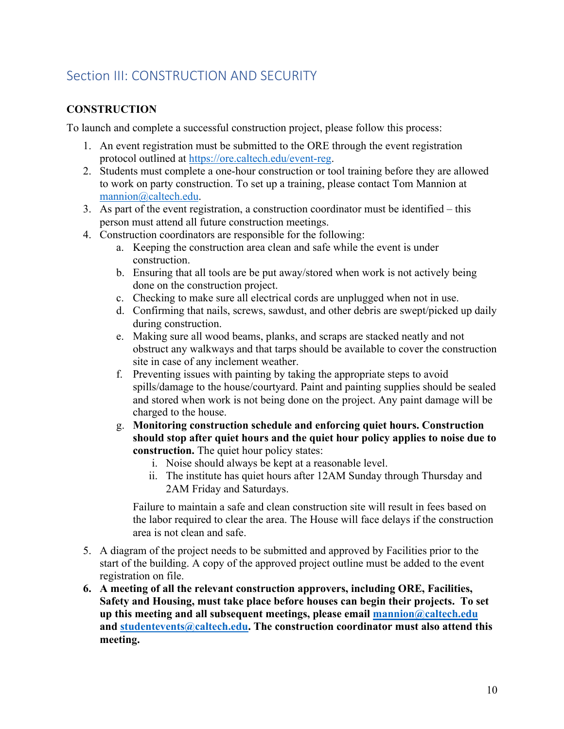# Section III: CONSTRUCTION AND SECURITY

# **CONSTRUCTION**

To launch and complete a successful construction project, please follow this process:

- 1. An event registration must be submitted to the ORE through the event registration protocol outlined at https://ore.caltech.edu/event-reg.
- 2. Students must complete a one-hour construction or tool training before they are allowed to work on party construction. To set up a training, please contact Tom Mannion at mannion@caltech.edu.
- 3. As part of the event registration, a construction coordinator must be identified this person must attend all future construction meetings.
- 4. Construction coordinators are responsible for the following:
	- a. Keeping the construction area clean and safe while the event is under construction.
	- b. Ensuring that all tools are be put away/stored when work is not actively being done on the construction project.
	- c. Checking to make sure all electrical cords are unplugged when not in use.
	- d. Confirming that nails, screws, sawdust, and other debris are swept/picked up daily during construction.
	- e. Making sure all wood beams, planks, and scraps are stacked neatly and not obstruct any walkways and that tarps should be available to cover the construction site in case of any inclement weather.
	- f. Preventing issues with painting by taking the appropriate steps to avoid spills/damage to the house/courtyard. Paint and painting supplies should be sealed and stored when work is not being done on the project. Any paint damage will be charged to the house.
	- g. **Monitoring construction schedule and enforcing quiet hours. Construction should stop after quiet hours and the quiet hour policy applies to noise due to construction.** The quiet hour policy states:
		- i. Noise should always be kept at a reasonable level.
		- ii. The institute has quiet hours after 12AM Sunday through Thursday and 2AM Friday and Saturdays.

Failure to maintain a safe and clean construction site will result in fees based on the labor required to clear the area. The House will face delays if the construction area is not clean and safe.

- 5. A diagram of the project needs to be submitted and approved by Facilities prior to the start of the building. A copy of the approved project outline must be added to the event registration on file.
- **6. A meeting of all the relevant construction approvers, including ORE, Facilities, Safety and Housing, must take place before houses can begin their projects. To set up this meeting and all subsequent meetings, please email mannion@caltech.edu and studentevents@caltech.edu. The construction coordinator must also attend this meeting.**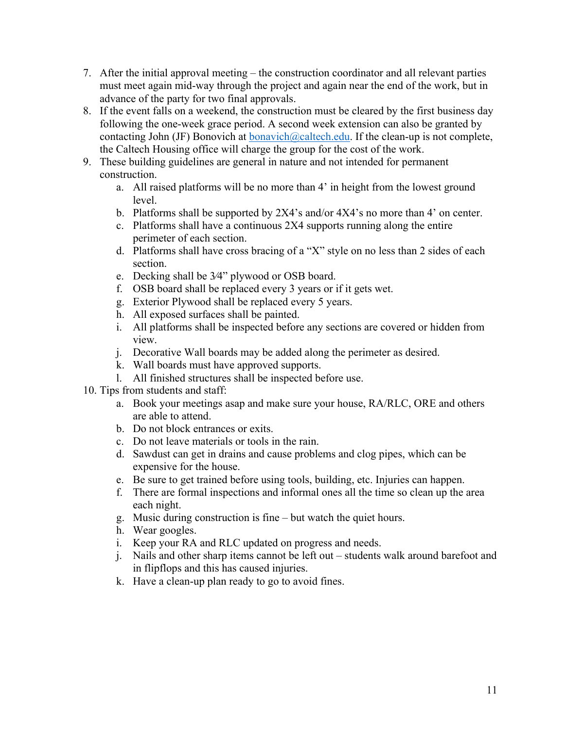- 7. After the initial approval meeting the construction coordinator and all relevant parties must meet again mid-way through the project and again near the end of the work, but in advance of the party for two final approvals.
- 8. If the event falls on a weekend, the construction must be cleared by the first business day following the one-week grace period. A second week extension can also be granted by contacting John (JF) Bonovich at  $\frac{bonavich@calclech.edu}{bonavich@calclech.edu}$ . If the clean-up is not complete, the Caltech Housing office will charge the group for the cost of the work.
- 9. These building guidelines are general in nature and not intended for permanent construction.
	- a. All raised platforms will be no more than 4' in height from the lowest ground level.
	- b. Platforms shall be supported by 2X4's and/or 4X4's no more than 4' on center.
	- c. Platforms shall have a continuous 2X4 supports running along the entire perimeter of each section.
	- d. Platforms shall have cross bracing of a "X" style on no less than 2 sides of each section.
	- e. Decking shall be 3⁄4" plywood or OSB board.
	- f. OSB board shall be replaced every 3 years or if it gets wet.
	- g. Exterior Plywood shall be replaced every 5 years.
	- h. All exposed surfaces shall be painted.
	- i. All platforms shall be inspected before any sections are covered or hidden from view.
	- j. Decorative Wall boards may be added along the perimeter as desired.
	- k. Wall boards must have approved supports.
	- l. All finished structures shall be inspected before use.
- 10. Tips from students and staff:
	- a. Book your meetings asap and make sure your house, RA/RLC, ORE and others are able to attend.
	- b. Do not block entrances or exits.
	- c. Do not leave materials or tools in the rain.
	- d. Sawdust can get in drains and cause problems and clog pipes, which can be expensive for the house.
	- e. Be sure to get trained before using tools, building, etc. Injuries can happen.
	- f. There are formal inspections and informal ones all the time so clean up the area each night.
	- g. Music during construction is fine but watch the quiet hours.
	- h. Wear googles.
	- i. Keep your RA and RLC updated on progress and needs.
	- j. Nails and other sharp items cannot be left out students walk around barefoot and in flipflops and this has caused injuries.
	- k. Have a clean-up plan ready to go to avoid fines.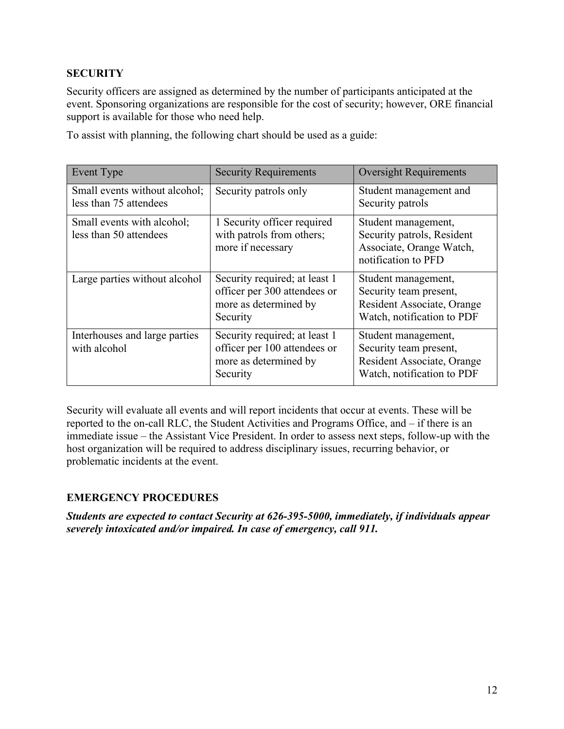# **SECURITY**

Security officers are assigned as determined by the number of participants anticipated at the event. Sponsoring organizations are responsible for the cost of security; however, ORE financial support is available for those who need help.

To assist with planning, the following chart should be used as a guide:

| Event Type                                              | <b>Security Requirements</b>                                                                       | <b>Oversight Requirements</b>                                                                             |
|---------------------------------------------------------|----------------------------------------------------------------------------------------------------|-----------------------------------------------------------------------------------------------------------|
| Small events without alcohol;<br>less than 75 attendees | Security patrols only                                                                              | Student management and<br>Security patrols                                                                |
| Small events with alcohol;<br>less than 50 attendees    | 1 Security officer required<br>with patrols from others;<br>more if necessary                      | Student management,<br>Security patrols, Resident<br>Associate, Orange Watch,<br>notification to PFD      |
| Large parties without alcohol                           | Security required; at least 1<br>officer per 300 attendees or<br>more as determined by<br>Security | Student management,<br>Security team present,<br>Resident Associate, Orange<br>Watch, notification to PDF |
| Interhouses and large parties<br>with alcohol           | Security required; at least 1<br>officer per 100 attendees or<br>more as determined by<br>Security | Student management,<br>Security team present,<br>Resident Associate, Orange<br>Watch, notification to PDF |

Security will evaluate all events and will report incidents that occur at events. These will be reported to the on-call RLC, the Student Activities and Programs Office, and – if there is an immediate issue – the Assistant Vice President. In order to assess next steps, follow-up with the host organization will be required to address disciplinary issues, recurring behavior, or problematic incidents at the event.

# **EMERGENCY PROCEDURES**

*Students are expected to contact Security at 626-395-5000, immediately, if individuals appear severely intoxicated and/or impaired. In case of emergency, call 911.*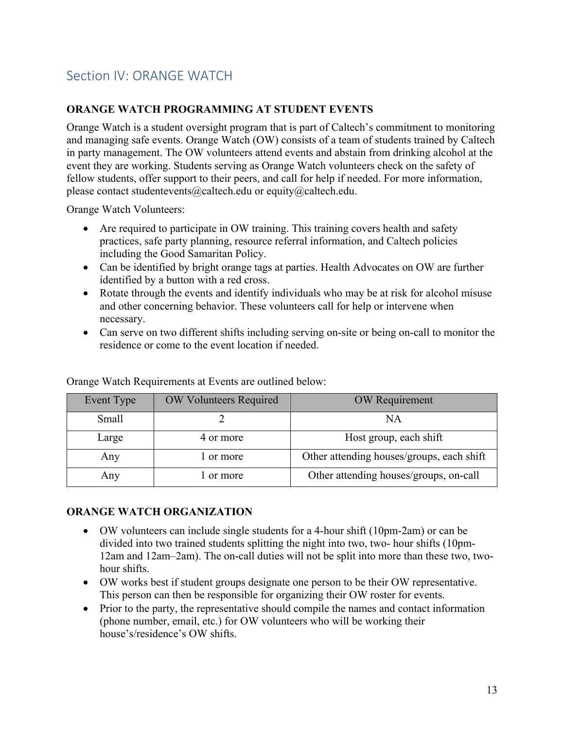# Section IV: ORANGE WATCH

#### **ORANGE WATCH PROGRAMMING AT STUDENT EVENTS**

Orange Watch is a student oversight program that is part of Caltech's commitment to monitoring and managing safe events. Orange Watch (OW) consists of a team of students trained by Caltech in party management. The OW volunteers attend events and abstain from drinking alcohol at the event they are working. Students serving as Orange Watch volunteers check on the safety of fellow students, offer support to their peers, and call for help if needed. For more information, please contact studentevents@caltech.edu or equity@caltech.edu.

Orange Watch Volunteers:

- Are required to participate in OW training. This training covers health and safety practices, safe party planning, resource referral information, and Caltech policies including the Good Samaritan Policy.
- Can be identified by bright orange tags at parties. Health Advocates on OW are further identified by a button with a red cross.
- Rotate through the events and identify individuals who may be at risk for alcohol misuse and other concerning behavior. These volunteers call for help or intervene when necessary.
- Can serve on two different shifts including serving on-site or being on-call to monitor the residence or come to the event location if needed.

| Event Type | OW Volunteers Required | <b>OW</b> Requirement                     |
|------------|------------------------|-------------------------------------------|
| Small      |                        | NΑ                                        |
| Large      | 4 or more              | Host group, each shift                    |
| Any        | l or more              | Other attending houses/groups, each shift |
| Any        | or more                | Other attending houses/groups, on-call    |

Orange Watch Requirements at Events are outlined below:

#### **ORANGE WATCH ORGANIZATION**

- OW volunteers can include single students for a 4-hour shift (10pm-2am) or can be divided into two trained students splitting the night into two, two- hour shifts (10pm-12am and 12am–2am). The on-call duties will not be split into more than these two, twohour shifts.
- OW works best if student groups designate one person to be their OW representative. This person can then be responsible for organizing their OW roster for events.
- Prior to the party, the representative should compile the names and contact information (phone number, email, etc.) for OW volunteers who will be working their house's/residence's OW shifts.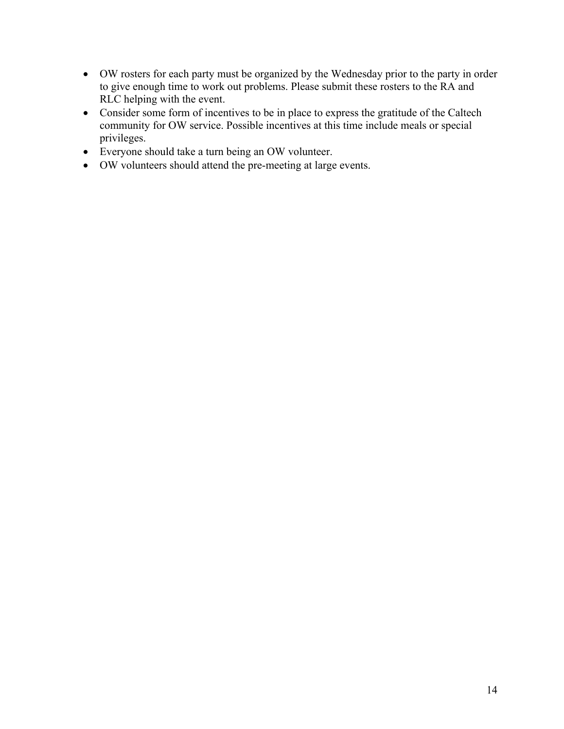- OW rosters for each party must be organized by the Wednesday prior to the party in order to give enough time to work out problems. Please submit these rosters to the RA and RLC helping with the event.
- Consider some form of incentives to be in place to express the gratitude of the Caltech community for OW service. Possible incentives at this time include meals or special privileges.
- Everyone should take a turn being an OW volunteer.
- OW volunteers should attend the pre-meeting at large events.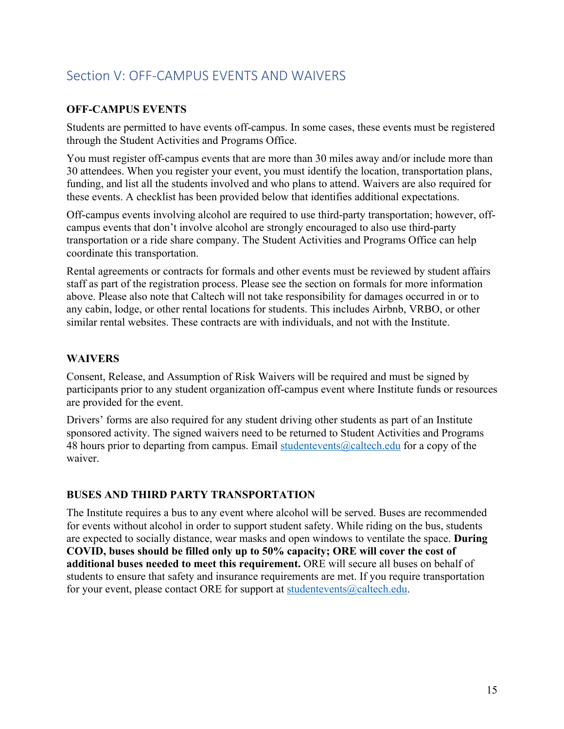# Section V: OFF-CAMPUS EVENTS AND WAIVERS

#### **OFF-CAMPUS EVENTS**

Students are permitted to have events off-campus. In some cases, these events must be registered through the Student Activities and Programs Office.

You must register off-campus events that are more than 30 miles away and/or include more than 30 attendees. When you register your event, you must identify the location, transportation plans, funding, and list all the students involved and who plans to attend. Waivers are also required for these events. A checklist has been provided below that identifies additional expectations.

Off-campus events involving alcohol are required to use third-party transportation; however, offcampus events that don't involve alcohol are strongly encouraged to also use third-party transportation or a ride share company. The Student Activities and Programs Office can help coordinate this transportation.

Rental agreements or contracts for formals and other events must be reviewed by student affairs staff as part of the registration process. Please see the section on formals for more information above. Please also note that Caltech will not take responsibility for damages occurred in or to any cabin, lodge, or other rental locations for students. This includes Airbnb, VRBO, or other similar rental websites. These contracts are with individuals, and not with the Institute.

#### **WAIVERS**

Consent, Release, and Assumption of Risk Waivers will be required and must be signed by participants prior to any student organization off-campus event where Institute funds or resources are provided for the event.

Drivers' forms are also required for any student driving other students as part of an Institute sponsored activity. The signed waivers need to be returned to Student Activities and Programs 48 hours prior to departing from campus. Email studentevents  $@caltech.edu$  for a copy of the waiver.

#### **BUSES AND THIRD PARTY TRANSPORTATION**

The Institute requires a bus to any event where alcohol will be served. Buses are recommended for events without alcohol in order to support student safety. While riding on the bus, students are expected to socially distance, wear masks and open windows to ventilate the space. **During COVID, buses should be filled only up to 50% capacity; ORE will cover the cost of additional buses needed to meet this requirement.** ORE will secure all buses on behalf of students to ensure that safety and insurance requirements are met. If you require transportation for your event, please contact ORE for support at studentevents@caltech.edu.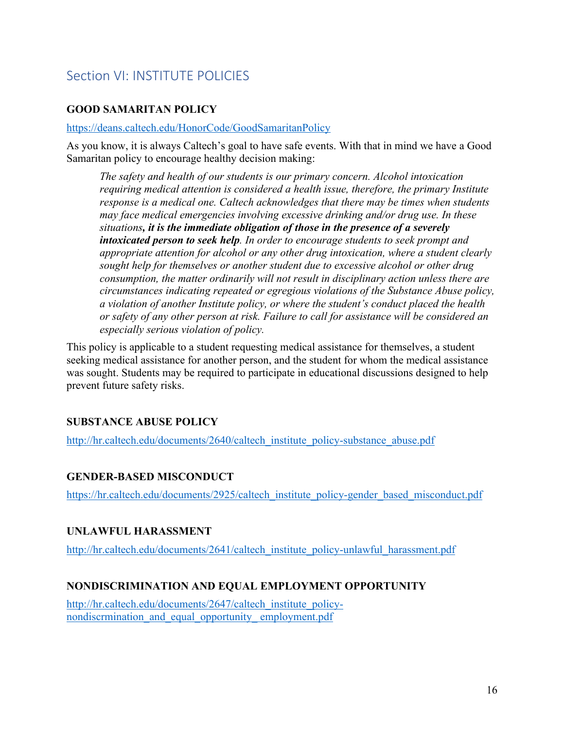# Section VI: INSTITUTE POLICIES

# **GOOD SAMARITAN POLICY**

#### https://deans.caltech.edu/HonorCode/GoodSamaritanPolicy

As you know, it is always Caltech's goal to have safe events. With that in mind we have a Good Samaritan policy to encourage healthy decision making:

*The safety and health of our students is our primary concern. Alcohol intoxication requiring medical attention is considered a health issue, therefore, the primary Institute response is a medical one. Caltech acknowledges that there may be times when students may face medical emergencies involving excessive drinking and/or drug use. In these situations, it is the immediate obligation of those in the presence of a severely intoxicated person to seek help. In order to encourage students to seek prompt and appropriate attention for alcohol or any other drug intoxication, where a student clearly sought help for themselves or another student due to excessive alcohol or other drug consumption, the matter ordinarily will not result in disciplinary action unless there are circumstances indicating repeated or egregious violations of the Substance Abuse policy, a violation of another Institute policy, or where the student's conduct placed the health or safety of any other person at risk. Failure to call for assistance will be considered an especially serious violation of policy.*

This policy is applicable to a student requesting medical assistance for themselves, a student seeking medical assistance for another person, and the student for whom the medical assistance was sought. Students may be required to participate in educational discussions designed to help prevent future safety risks.

#### **SUBSTANCE ABUSE POLICY**

http://hr.caltech.edu/documents/2640/caltech\_institute\_policy-substance\_abuse.pdf

#### **GENDER-BASED MISCONDUCT**

https://hr.caltech.edu/documents/2925/caltech\_institute\_policy-gender\_based\_misconduct.pdf

#### **UNLAWFUL HARASSMENT**

http://hr.caltech.edu/documents/2641/caltech\_institute\_policy-unlawful\_harassment.pdf

#### **NONDISCRIMINATION AND EQUAL EMPLOYMENT OPPORTUNITY**

http://hr.caltech.edu/documents/2647/caltech\_institute\_policynondiscrmination\_and\_equal\_opportunity\_ employment.pdf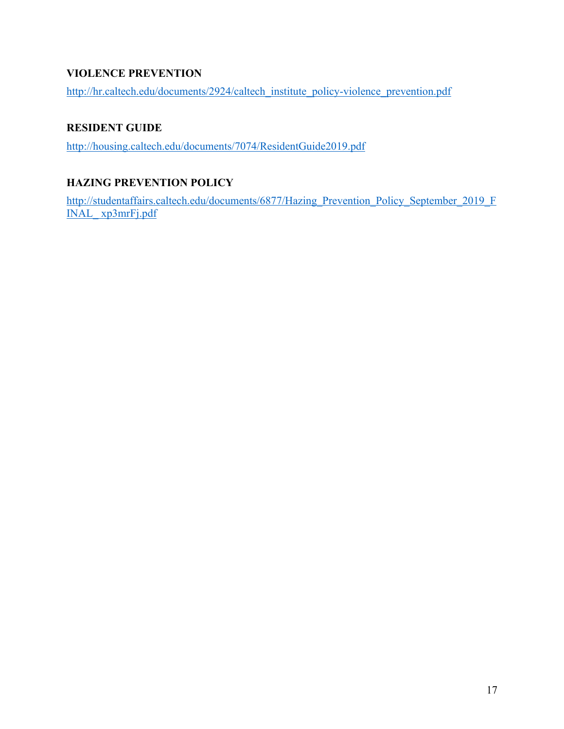# **VIOLENCE PREVENTION**

http://hr.caltech.edu/documents/2924/caltech\_institute\_policy-violence\_prevention.pdf

# **RESIDENT GUIDE**

http://housing.caltech.edu/documents/7074/ResidentGuide2019.pdf

# **HAZING PREVENTION POLICY**

http://studentaffairs.caltech.edu/documents/6877/Hazing\_Prevention\_Policy\_September\_2019\_F INAL\_ xp3mrFj.pdf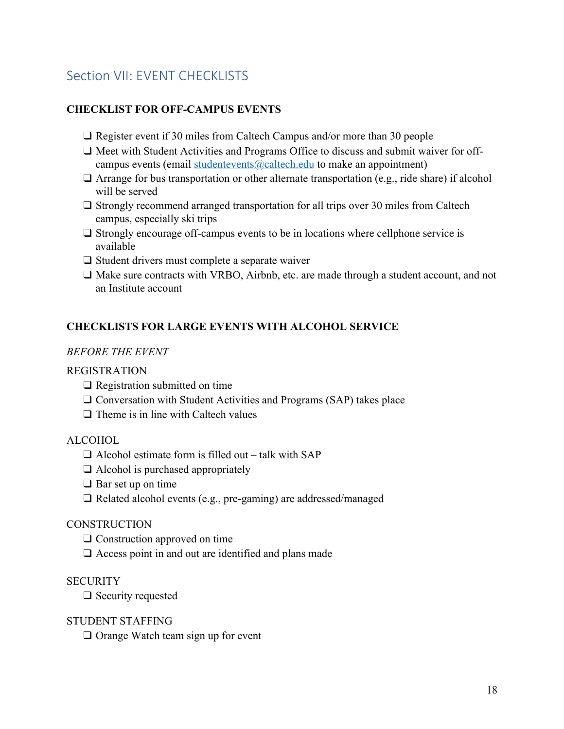# Section VII: EVENT CHECKLISTS

#### **CHECKLIST FOR OFF-CAMPUS EVENTS**

- ❑ Register event if 30 miles from Caltech Campus and/or more than 30 people
- ❑ Meet with Student Activities and Programs Office to discuss and submit waiver for offcampus events (email studentevents@caltech.edu to make an appointment)
- □ Arrange for bus transportation or other alternate transportation (e.g., ride share) if alcohol will be served
- □ Strongly recommend arranged transportation for all trips over 30 miles from Caltech campus, especially ski trips
- ❑ Strongly encourage off-campus events to be in locations where cellphone service is available
- ❑ Student drivers must complete a separate waiver
- ❑ Make sure contracts with VRBO, Airbnb, etc. are made through a student account, and not an Institute account

#### **CHECKLISTS FOR LARGE EVENTS WITH ALCOHOL SERVICE**

#### *BEFORE THE EVENT*

#### REGISTRATION

- ❑ Registration submitted on time
- ❑ Conversation with Student Activities and Programs (SAP) takes place
- ❑ Theme is in line with Caltech values

#### ALCOHOL

- $\Box$  Alcohol estimate form is filled out talk with SAP
- ❑ Alcohol is purchased appropriately
- ❑ Bar set up on time
- ❑ Related alcohol events (e.g., pre-gaming) are addressed/managed

#### **CONSTRUCTION**

- ❑ Construction approved on time
- □ Access point in and out are identified and plans made

#### **SECURITY**

❑ Security requested

#### STUDENT STAFFING

❑ Orange Watch team sign up for event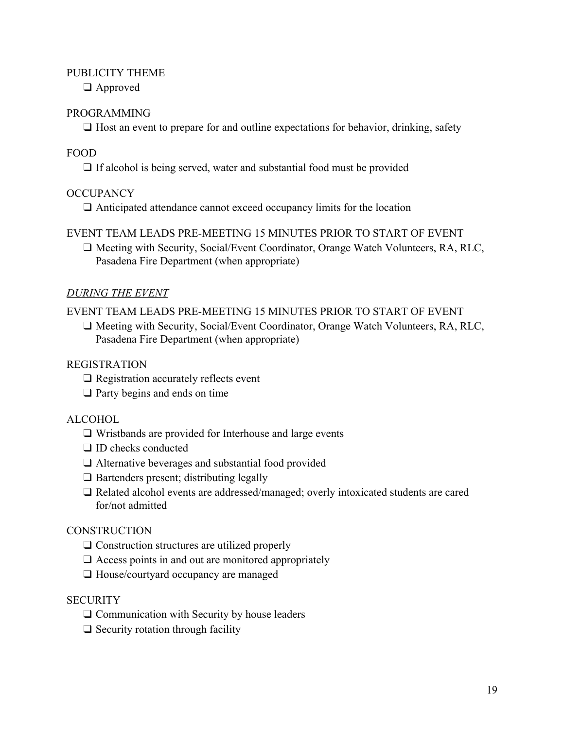#### PUBLICITY THEME

❑ Approved

#### PROGRAMMING

❑ Host an event to prepare for and outline expectations for behavior, drinking, safety

#### FOOD

❑ If alcohol is being served, water and substantial food must be provided

#### **OCCUPANCY**

❑ Anticipated attendance cannot exceed occupancy limits for the location

#### EVENT TEAM LEADS PRE-MEETING 15 MINUTES PRIOR TO START OF EVENT

❑ Meeting with Security, Social/Event Coordinator, Orange Watch Volunteers, RA, RLC, Pasadena Fire Department (when appropriate)

#### *DURING THE EVENT*

EVENT TEAM LEADS PRE-MEETING 15 MINUTES PRIOR TO START OF EVENT

❑ Meeting with Security, Social/Event Coordinator, Orange Watch Volunteers, RA, RLC, Pasadena Fire Department (when appropriate)

#### REGISTRATION

- ❑ Registration accurately reflects event
- ❑ Party begins and ends on time

#### ALCOHOL

- ❑ Wristbands are provided for Interhouse and large events
- □ ID checks conducted
- ❑ Alternative beverages and substantial food provided
- ❑ Bartenders present; distributing legally
- ❑ Related alcohol events are addressed/managed; overly intoxicated students are cared for/not admitted

#### **CONSTRUCTION**

- ❑ Construction structures are utilized properly
- $\square$  Access points in and out are monitored appropriately
- ❑ House/courtyard occupancy are managed

#### **SECURITY**

- ❑ Communication with Security by house leaders
- $\Box$  Security rotation through facility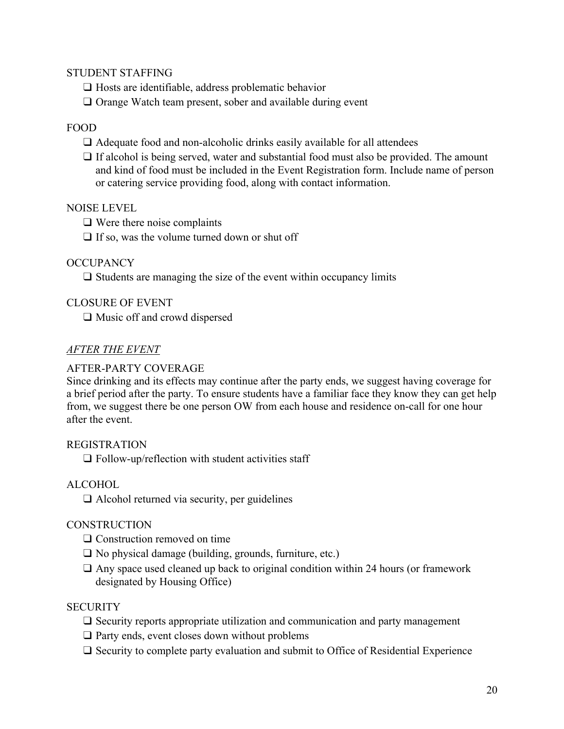#### STUDENT STAFFING

❑ Hosts are identifiable, address problematic behavior

□ Orange Watch team present, sober and available during event

#### FOOD

 $\Box$  Adequate food and non-alcoholic drinks easily available for all attendees

❑ If alcohol is being served, water and substantial food must also be provided. The amount and kind of food must be included in the Event Registration form. Include name of person or catering service providing food, along with contact information.

#### NOISE LEVEL

❑ Were there noise complaints

 $\Box$  If so, was the volume turned down or shut off

#### **OCCUPANCY**

 $\square$  Students are managing the size of the event within occupancy limits

### CLOSURE OF EVENT

❑ Music off and crowd dispersed

### *AFTER THE EVENT*

#### AFTER-PARTY COVERAGE

Since drinking and its effects may continue after the party ends, we suggest having coverage for a brief period after the party. To ensure students have a familiar face they know they can get help from, we suggest there be one person OW from each house and residence on-call for one hour after the event.

#### REGISTRATION

 $\Box$  Follow-up/reflection with student activities staff

#### ALCOHOL

 $\Box$  Alcohol returned via security, per guidelines

#### **CONSTRUCTION**

❑ Construction removed on time

- ❑ No physical damage (building, grounds, furniture, etc.)
- $\Box$  Any space used cleaned up back to original condition within 24 hours (or framework designated by Housing Office)

#### **SECURITY**

- ❑ Security reports appropriate utilization and communication and party management
- ❑ Party ends, event closes down without problems
- ❑ Security to complete party evaluation and submit to Office of Residential Experience